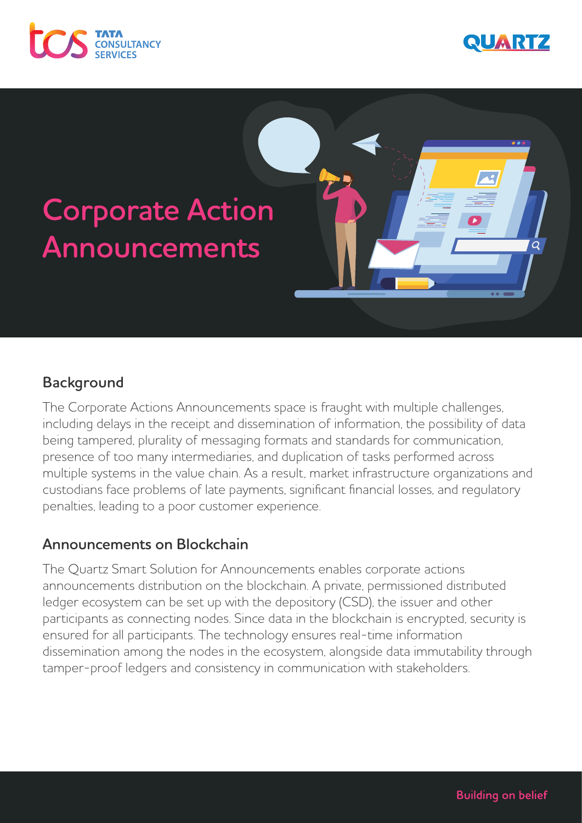





# **Background**

The Corporate Actions Announcements space is fraught with multiple challenges, including delays in the receipt and dissemination of information, the possibility of data being tampered, plurality of messaging formats and standards for communication, presence of too many intermediaries, and duplication of tasks performed across multiple systems in the value chain. As a result, market infrastructure organizations and custodians face problems of late payments, significant financial losses, and regulatory penalties, leading to a poor customer experience.

# **Announcements on Blockchain**

The Quartz Smart Solution for Announcements enables corporate actions announcements distribution on the blockchain. A private, permissioned distributed ledger ecosystem can be set up with the depository (CSD), the issuer and other participants as connecting nodes. Since data in the blockchain is encrypted, security is ensured for all participants. The technology ensures real-time information dissemination among the nodes in the ecosystem, alongside data immutability through tamper-proof ledgers and consistency in communication with stakeholders.